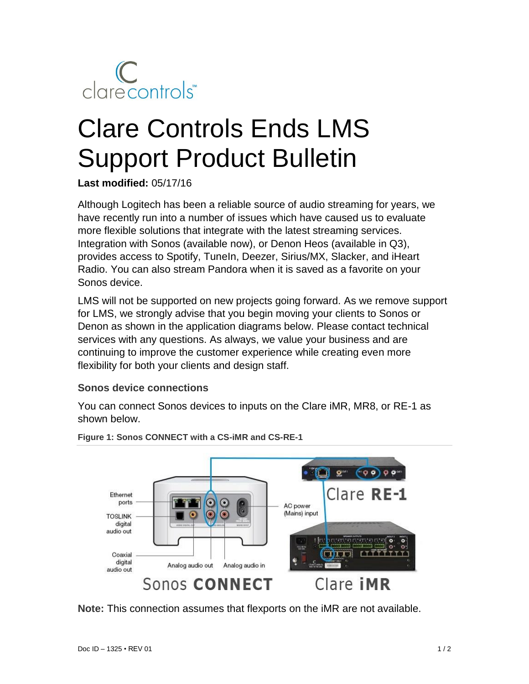

# Clare Controls Ends LMS Support Product Bulletin

**Last modified:** 05/17/16

Although Logitech has been a reliable source of audio streaming for years, we have recently run into a number of issues which have caused us to evaluate more flexible solutions that integrate with the latest streaming services. Integration with Sonos (available now), or Denon Heos (available in Q3), provides access to Spotify, TuneIn, Deezer, Sirius/MX, Slacker, and iHeart Radio. You can also stream Pandora when it is saved as a favorite on your Sonos device.

LMS will not be supported on new projects going forward. As we remove support for LMS, we strongly advise that you begin moving your clients to Sonos or Denon as shown in the application diagrams below. Please contact technical services with any questions. As always, we value your business and are continuing to improve the customer experience while creating even more flexibility for both your clients and design staff.

#### **Sonos device connections**

You can connect Sonos devices to inputs on the Clare iMR, MR8, or RE-1 as shown below.



**Figure 1: Sonos CONNECT with a CS-iMR and CS-RE-1**

**Note:** This connection assumes that flexports on the iMR are not available.